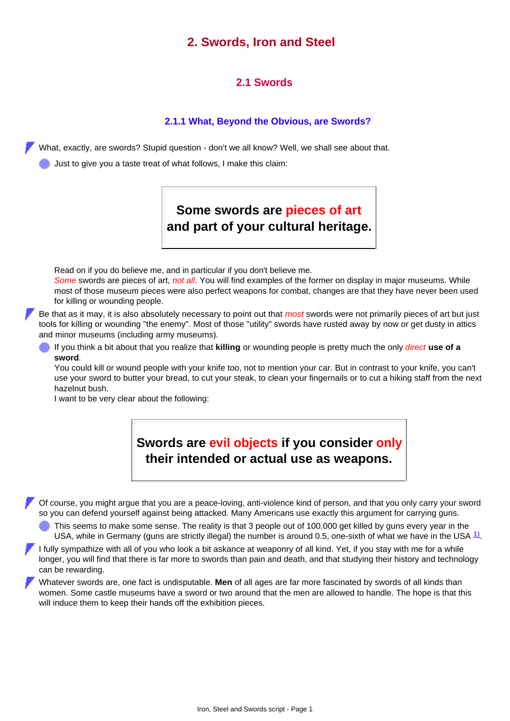## **2. Swords, Iron and Steel**

## **2.1 Swords**

## **2.1.1 What, Beyond the Obvious, are Swords?**

What, exactly, are swords? Stupid question - don't we all know? Well, we shall see about that.

Just to give you a taste treat of what follows, I make this claim:

**Some swords are pieces of art and part of your cultural heritage.**

Read on if you do believe me, and in particular if you don't believe me.

*Some* swords are pieces of art, *not all*. You will find examples of the former on display in major museums. While most of those museum pieces were also perfect weapons for combat, changes are that they have never been used for killing or wounding people.

Be that as it may, it is also absolutely necessary to point out that *most* swords were not primarily pieces of art but just tools for killing or wounding "the enemy". Most of those "utility" swords have rusted away by now or get dusty in attics and minor museums (including army museums).

If you think a bit about that you realize that **killing** or wounding people is pretty much the only *direct* **use of a sword**.

You could kill or wound people with your knife too, not to mention your car. But in contrast to your knife, you can't use your sword to butter your bread, to cut your steak, to clean your fingernails or to cut a hiking staff from the next hazelnut bush.

I want to be very clear about the following:



Of course, you might argue that you are a peace-loving, anti-violence kind of person, and that you only carry your sword so you can defend yourself against being attacked. Many Americans use exactly this argument for carrying guns.

**This seems to make some sense. The reality is that 3 people out of 100.000 get killed by guns every year in the** USA, while in Germany (guns are strictly illegal) the number is around 0.5, one-sixth of what we have in the USA  $1/2$ .

I fully sympathize with all of you who look a bit askance at weaponry of all kind. Yet, if you stay with me for a while longer, you will find that there is far more to swords than pain and death, and that studying their history and technology can be rewarding.

Whatever swords are, one fact is undisputable. **Men** of all ages are far more fascinated by swords of all kinds than women. Some castle museums have a sword or two around that the men are allowed to handle. The hope is that this will induce them to keep their hands off the exhibition pieces.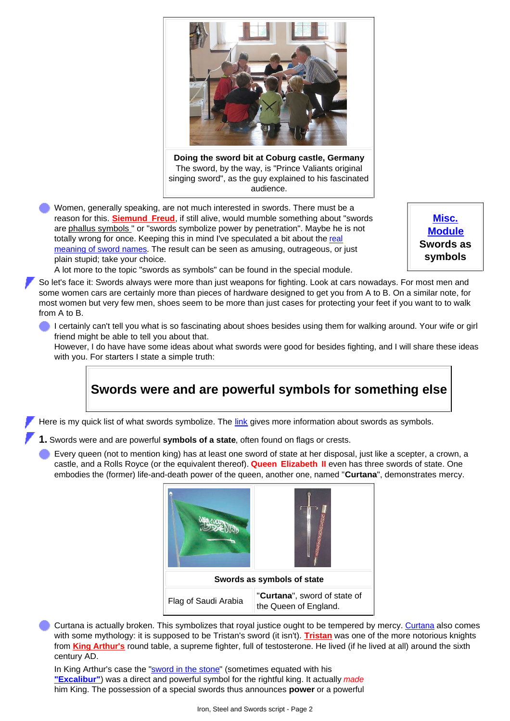

**Doing the sword bit at Coburg castle, Germany** The sword, by the way, is "Prince Valiants original singing sword", as the guy explained to his fascinated audience.

Women, generally speaking, are not much interested in swords. There must be a reason for this. **[Siemund Freud](http://www.tf.uni-kiel.de/matwis/amat/iss_dec_15_2021/kap_2/advanced/a2_1_1.html#!freud)**, if still alive, would mumble something about "swords are [phallus symbols](http://www.tf.uni-kiel.de/matwis/amat/iss_dec_15_2021/kap_2/advanced/h2_1_4.html) " or "swords symbolize power by penetration". Maybe he is not totally wrong for once. Keeping this in mind I've speculated a bit about the [real](http://www.tf.uni-kiel.de/matwis/amat/iss_dec_15_2021/kap_2/illustr/i2_1_1.html#_1) [meaning of sword names](http://www.tf.uni-kiel.de/matwis/amat/iss_dec_15_2021/kap_2/illustr/i2_1_1.html#_1). The result can be seen as amusing, outrageous, or just plain stupid; take your choice.

**[Misc.](http://www.tf.uni-kiel.de/matwis/amat/iss_dec_15_2021/kap_2/advanced/a2_1_1.html) [Module](http://www.tf.uni-kiel.de/matwis/amat/iss_dec_15_2021/kap_2/advanced/a2_1_1.html) Swords as symbols**

A lot more to the topic "swords as symbols" can be found in the special module.

So let's face it: Swords always were more than just weapons for fighting. Look at cars nowadays. For most men and some women cars are certainly more than pieces of hardware designed to get you from A to B. On a similar note, for most women but very few men, shoes seem to be more than just cases for protecting your feet if you want to to walk from A to B.

I certainly can't tell you what is so fascinating about shoes besides using them for walking around. Your wife or girl friend might be able to tell you about that.

However, I do have have some ideas about what swords were good for besides fighting, and I will share these ideas with you. For starters I state a simple truth:

**Swords were and are powerful symbols for something else**

Here is my quick list of what swords symbolize. The [link](http://www.tf.uni-kiel.de/matwis/amat/iss_dec_15_2021/kap_2/advanced/a2_1_1.html) gives more information about swords as symbols.

- **1.** Swords were and are powerful **symbols of a state**, often found on flags or crests.
- Every queen (not to mention king) has at least one sword of state at her disposal, just like a scepter, a crown, a castle, and a Rolls Royce (or the equivalent thereof). **Queen Elizabeth II** even has three swords of state. One embodies the (former) life-and-death power of the queen, another one, named "**Curtana**", demonstrates mercy.



Curtana is actually broken. This symbolizes that royal justice ought to be tempered by mercy. [Curtana](http://www.tf.uni-kiel.de/matwis/amat/iss_dec_15_2021/kap_2/illustr/i2_1_1.html#curtana; sword name) also comes with some mythology: it is supposed to be Tristan's sword (it isn't). **[Tristan](http://www.tf.uni-kiel.de/matwis/amat/iss_dec_15_2021/kap_2/illustr/i2_1_1.html#tristan)** was one of the more notorious knights from **[King Arthur's](http://www.tf.uni-kiel.de/matwis/amat/iss_dec_15_2021/kap_2/advanced/t2_1_2.html#anglo-saxon mythology)** round table, a supreme fighter, full of testosterone. He lived (if he lived at all) around the sixth century AD.

In King Arthur's case the "sword in the stone" (sometimes equated with his **"Excalibur"**) was a direct and powerful symbol for the rightful king. It actually *made* him King. The possession of a special swords thus announces **power** or a powerful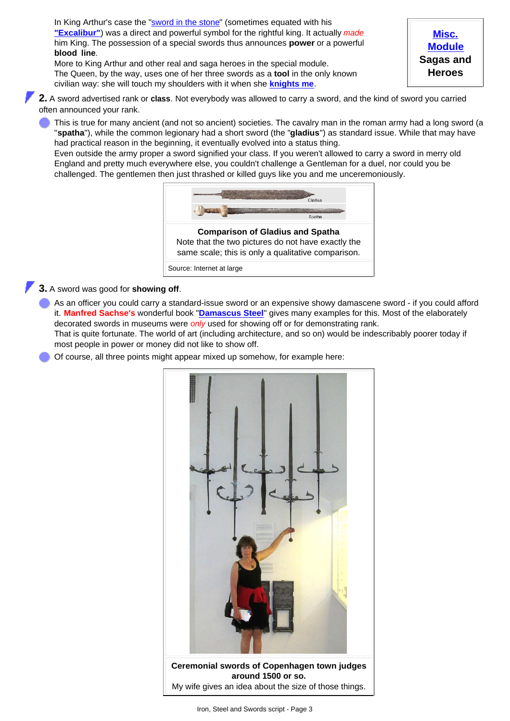In King Arthur's case the "[sword in the stone](http://www.tf.uni-kiel.de/matwis/amat/iss_dec_15_2021/kap_2/advanced/t2_1_3.html)" (sometimes equated with his **["Excalibur"](http://www.tf.uni-kiel.de/matwis/amat/iss_dec_15_2021/kap_2/illustr/i2_1_1.html#excalibur, sword name)**) was a direct and powerful symbol for the rightful king. It actually *made* him King. The possession of a special swords thus announces **power** or a powerful **blood line**.

More to King Arthur and other real and saga heroes in the special module. The Queen, by the way, uses one of her three swords as a **tool** in the only known civilian way: she will touch my shoulders with it when she **[knights me](http://www.tf.uni-kiel.de/matwis/amat/iss_dec_15_2021/kap_2/illustr/i2_1_5.html#_25)**.

**[Misc.](http://www.tf.uni-kiel.de/matwis/amat/iss_dec_15_2021/kap_2/advanced/t2_1_2.html) [Module](http://www.tf.uni-kiel.de/matwis/amat/iss_dec_15_2021/kap_2/advanced/t2_1_2.html) Sagas and Heroes**

**2.** A sword advertised rank or **class**. Not everybody was allowed to carry a sword, and the kind of sword you carried often announced your rank.

This is true for many ancient (and not so ancient) societies. The cavalry man in the roman army had a long sword (a "**spatha**"), while the common legionary had a short sword (the "**gladius**") as standard issue. While that may have had practical reason in the beginning, it eventually evolved into a status thing.

Even outside the army proper a sword signified your class. If you weren't allowed to carry a sword in merry old England and pretty much everywhere else, you couldn't challenge a Gentleman for a duel, nor could you be challenged. The gentlemen then just thrashed or killed guys like you and me unceremoniously.



Source: Internet at large

## **3.** A sword was good for **showing off**.

As an officer you could carry a standard-issue sword or an expensive showy damascene sword - if you could afford it. **Manfred Sachse's** wonderful book "**[Damascus Steel](http://www.tf.uni-kiel.de/matwis/amat/iss_dec_15_2021/kap_1/illustr/s1_1_2.html#!sachse)**" gives many examples for this. Most of the elaborately decorated swords in museums were *only* used for showing off or for demonstrating rank.

That is quite fortunate. The world of art (including architecture, and so on) would be indescribably poorer today if most people in power or money did not like to show off.

Of course, all three points might appear mixed up somehow, for example here:

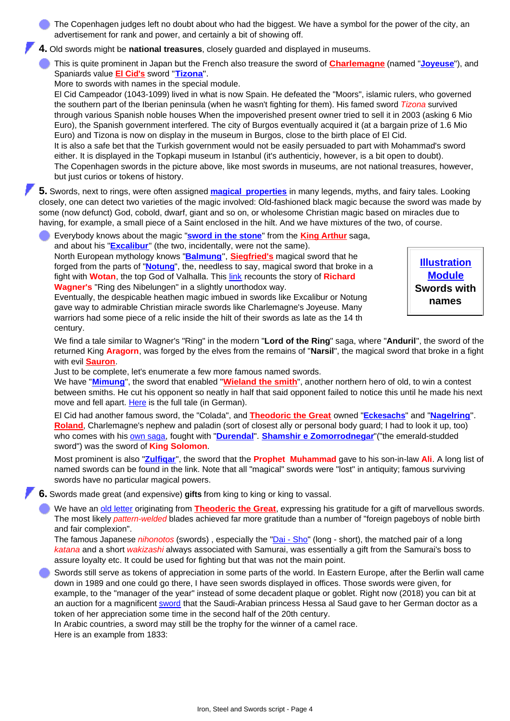The Copenhagen judges left no doubt about who had the biggest. We have a symbol for the power of the city, an advertisement for rank and power, and certainly a bit of showing off.

- **4.** Old swords might be **national treasures**, closely guarded and displayed in museums.
- This is quite prominent in Japan but the French also treasure the sword of **[Charlemagne](http://www.tf.uni-kiel.de/matwis/amat/iss_dec_15_2021/kap_2/advanced/t2_1_2.html#!charlemagne)** (named "**[Joyeuse](http://www.tf.uni-kiel.de/matwis/amat/iss_dec_15_2021/kap_2/illustr/i2_1_1.html#joyeuse; sword name)**"), and Spaniards value **[El Cid's](http://www.tf.uni-kiel.de/matwis/amat/iss_dec_15_2021/kap_2/advanced/t2_1_2.html#spanish mythology)** sword "**[Tizona](http://www.tf.uni-kiel.de/matwis/amat/iss_dec_15_2021/kap_2/illustr/i2_1_1.html#tizona; sword name)**".

More to swords with names in the special module.

El Cid Campeador (1043-1099) lived in what is now Spain. He defeated the "Moors", islamic rulers, who governed the southern part of the Iberian peninsula (when he wasn't fighting for them). His famed sword *Tizona* survived through various Spanish noble houses When the impoverished present owner tried to sell it in 2003 (asking 6 Mio Euro), the Spanish government interfered. The city of Burgos eventually acquired it (at a bargain prize of 1.6 Mio Euro) and Tizona is now on display in the museum in Burgos, close to the birth place of El Cid. It is also a safe bet that the Turkish government would not be easily persuaded to part with Mohammad's sword either. It is displayed in the Topkapi museum in Istanbul (it's authenticiy, however, is a bit open to doubt). The Copenhagen swords in the picture above, like most swords in museums, are not national treasures, however, but just curios or tokens of history.

**5.** Swords, next to rings, were often assigned **[magical properties](http://www.tf.uni-kiel.de/matwis/amat/iss_dec_15_2021/kap_2/illustr/i2_1_1.html#_3)** in many legends, myths, and fairy tales. Looking closely, one can detect two varieties of the magic involved: Old-fashioned black magic because the sword was made by some (now defunct) God, cobold, dwarf, giant and so on, or wholesome Christian magic based on miracles due to having, for example, a small piece of a Saint enclosed in the hilt. And we have mixtures of the two, of course.

Everybody knows about the magic "**[sword in the stone](http://www.tf.uni-kiel.de/matwis/amat/iss_dec_15_2021/kap_2/advanced/t2_1_3.html)**" from the **[King Arthur](http://www.tf.uni-kiel.de/matwis/amat/iss_dec_15_2021/kap_2/advanced/t2_1_2.html#!king arthur)** saga, and about his "**[Excalibur](http://www.tf.uni-kiel.de/matwis/amat/iss_dec_15_2021/kap_2/illustr/i2_1_1.html#excalibur, sword name)**" (the two, incidentally, were not the same). North European mythology knows "**[Balmung](http://www.tf.uni-kiel.de/matwis/amat/iss_dec_15_2021/kap_2/illustr/i2_1_1.html#balmung; sword name)**", **[Siegfried's](http://www.tf.uni-kiel.de/matwis/amat/iss_dec_15_2021/kap_2/advanced/t2_1_2.html#!siegfried)** magical sword that he forged from the parts of "**[Notung](http://www.tf.uni-kiel.de/matwis/amat/iss_dec_15_2021/kap_2/illustr/i2_1_1.html#notung; sword name)**", the, needless to say, magical sword that broke in a fight with **Wotan**, the top God of Valhalla. This [link](http://www.tf.uni-kiel.de/matwis/amat/iss_dec_15_2021/kap_2/illustr/i2_1_3.html) recounts the story of **Richard Wagner's** "Ring des Nibelungen" in a slightly unorthodox way.

Eventually, the despicable heathen magic imbued in swords like Excalibur or Notung gave way to admirable Christian miracle swords like Charlemagne's Joyeuse. Many warriors had some piece of a relic inside the hilt of their swords as late as the 14 th century.

**[Illustration](http://www.tf.uni-kiel.de/matwis/amat/iss_dec_15_2021/kap_2/illustr/i2_1_1.html) [Module](http://www.tf.uni-kiel.de/matwis/amat/iss_dec_15_2021/kap_2/illustr/i2_1_1.html) Swords with names**

We find a tale similar to Wagner's "Ring" in the modern "**Lord of the Ring**" saga, where "**Anduril**", the sword of the returned King **Aragorn**, was forged by the elves from the remains of "**Narsil**", the magical sword that broke in a fight with evil **[Sauron](http://www.tf.uni-kiel.de/matwis/amat/iss_dec_15_2021/kap_2/advanced/a2_1_1.html#!sauron)**.

Just to be complete, let's enumerate a few more famous named swords.

We have "**[Mimung](http://www.tf.uni-kiel.de/matwis/amat/iss_dec_15_2021/kap_2/illustr/i2_1_1.html#mimung; sword name)**", the sword that enabled "**[Wieland the smith](http://www.tf.uni-kiel.de/matwis/amat/iss_dec_15_2021/kap_2/advanced/t2_1_2.html#!wieland the smith)**", another northern hero of old, to win a contest between smiths. He cut his opponent so neatly in half that said opponent failed to notice this until he made his next move and fell apart. [Here](http://www.tf.uni-kiel.de/matwis/amat/iss_dec_15_2021/kap_2/advanced/t2_1_1.html) is the full tale (in German).

El Cid had another famous sword, the "Colada", and **[Theodoric the Great](http://www.tf.uni-kiel.de/matwis/amat/iss_dec_15_2021/kap_2/advanced/t2_1_2.html#!theodoric the great)** owned "**[Eckesachs](http://www.tf.uni-kiel.de/matwis/amat/iss_dec_15_2021/kap_2/illustr/i2_1_1.html#eckesachs; sword name)**" and "**[Nagelring](http://www.tf.uni-kiel.de/matwis/amat/iss_dec_15_2021/kap_2/illustr/i2_1_1.html#nagelring; sword name)**". **[Roland](http://www.tf.uni-kiel.de/matwis/amat/iss_dec_15_2021/kap_2/advanced/t2_1_2.html#!roland)**, Charlemagne's nephew and paladin (sort of closest ally or personal body guard; I had to look it up, too) who comes with his [own saga](http://www.tf.uni-kiel.de/matwis/amat/iss_dec_15_2021/kap_2/advanced/t2_1_2.html#french mythology), fought with "**[Durendal](http://www.tf.uni-kiel.de/matwis/amat/iss_dec_15_2021/kap_2/illustr/i2_1_1.html#durendal, sword name)**". **[Shamshir e Zomorrodnegar](http://www.tf.uni-kiel.de/matwis/amat/iss_dec_15_2021/kap_2/illustr/i2_1_1.html#shamshir-e zomorrodnegar; sword name)**"("the emerald-studded sword") was the sword of **King Solomon**.

Most prominent is also "**[Zulfiqar](http://www.tf.uni-kiel.de/matwis/amat/iss_dec_15_2021/kap_2/illustr/i2_1_1.html#zulfiqar; sword name)**", the sword that the **Prophet Muhammad** gave to his son-in-law **Ali**. A long list of named swords can be found in the link. Note that all "magical" swords were "lost" in antiquity; famous surviving swords have no particular magical powers.

**6.** Swords made great (and expensive) **gifts** from king to king or king to vassal.

We have an [old letter](http://www.tf.uni-kiel.de/matwis/amat/iss_dec_15_2021/kap_2/illustr/i2_1_2.html) originating from **[Theoderic the Great](http://www.tf.uni-kiel.de/matwis/amat/iss_dec_15_2021/kap_2/advanced/t2_1_2.html#!theodoric the great)**, expressing his gratitude for a gift of marvellous swords. The most likely *pattern-welded* blades achieved far more gratitude than a number of "foreign pageboys of noble birth and fair complexion".

The famous Japanese *nihonotos* (swords) , especially the "[Dai - Sho"](http://www.tf.uni-kiel.de/matwis/amat/iss_dec_15_2021/kap_b/illustr/ib_6_3.html) (long - short), the matched pair of a long *katana* and a short *wakizashi* always associated with Samurai, was essentially a gift from the Samurai's boss to assure loyalty etc. It could be used for fighting but that was not the main point.

Swords still serve as tokens of appreciation in some parts of the world. In Eastern Europe, after the Berlin wall came down in 1989 and one could go there, I have seen swords displayed in offices. Those swords were given, for example, to the "manager of the year" instead of some decadent plaque or goblet. Right now (2018) you can bit at an auction for a magnificent [sword](http://www.tf.uni-kiel.de/matwis/amat/iss_dec_15_2021/kap_2/illustr/i2_1_5.html#_33) that the Saudi-Arabian princess Hessa al Saud gave to her German doctor as a token of her appreciation some time in the second half of the 20th century.

In Arabic countries, a sword may still be the trophy for the winner of a camel race. Here is an example from 1833: